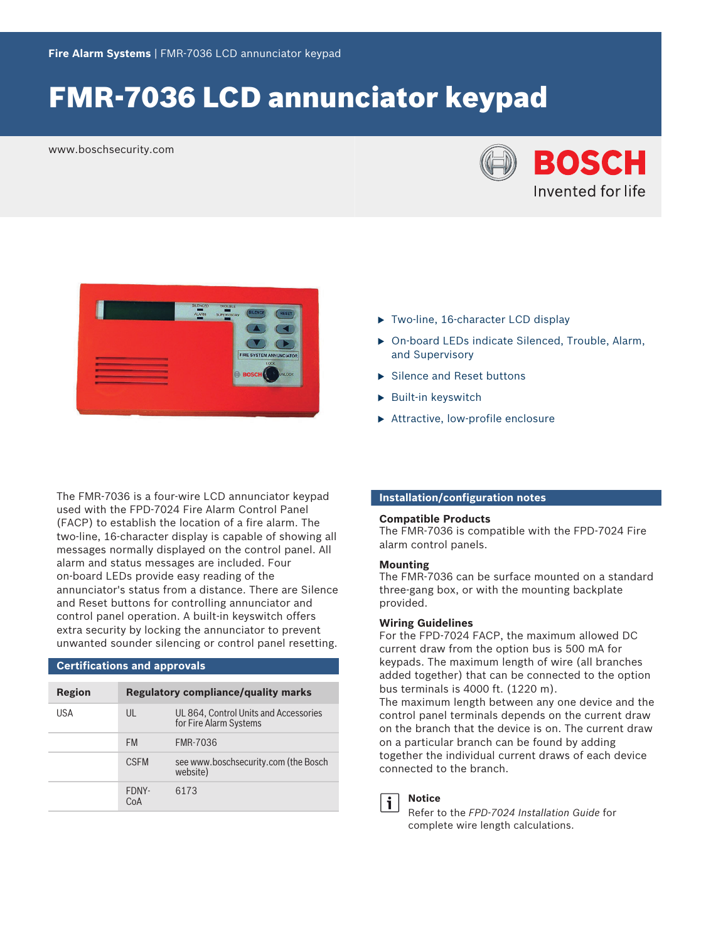# FMR-7036 LCD annunciator keypad

www.boschsecurity.com





The FMR-7036 is a four-wire LCD annunciator keypad used with the FPD‑7024 Fire Alarm Control Panel (FACP) to establish the location of a fire alarm. The two‑line, 16‑character display is capable of showing all messages normally displayed on the control panel. All alarm and status messages are included. Four on‑board LEDs provide easy reading of the annunciator's status from a distance. There are Silence and Reset buttons for controlling annunciator and control panel operation. A built-in keyswitch offers extra security by locking the annunciator to prevent unwanted sounder silencing or control panel resetting.

## **Certifications and approvals**

| <b>Region</b> |              | <b>Regulatory compliance/quality marks</b>                      |
|---------------|--------------|-----------------------------------------------------------------|
| USA           | UL           | UL 864, Control Units and Accessories<br>for Fire Alarm Systems |
|               | <b>FM</b>    | FMR-7036                                                        |
|               | <b>CSEM</b>  | see www.boschsecurity.com (the Bosch<br>website)                |
|               | FDNY-<br>CoA | 6173                                                            |

- $\blacktriangleright$  Two-line, 16-character LCD display
- ▶ On-board LEDs indicate Silenced, Trouble, Alarm, and Supervisory
- $\blacktriangleright$  Silence and Reset buttons
- $\blacktriangleright$  Built-in keyswitch
- $\blacktriangleright$  Attractive, low-profile enclosure

#### **Installation/configuration notes**

#### **Compatible Products**

The FMR-7036 is compatible with the FPD-7024 Fire alarm control panels.

#### **Mounting**

The FMR‑7036 can be surface mounted on a standard three‑gang box, or with the mounting backplate provided.

#### **Wiring Guidelines**

For the FPD‑7024 FACP, the maximum allowed DC current draw from the option bus is 500 mA for keypads. The maximum length of wire (all branches added together) that can be connected to the option bus terminals is 4000 ft. (1220 m).

The maximum length between any one device and the control panel terminals depends on the current draw on the branch that the device is on. The current draw on a particular branch can be found by adding together the individual current draws of each device connected to the branch.



#### **Notice**

Refer to the *FPD‑7024 Installation Guide* for complete wire length calculations.